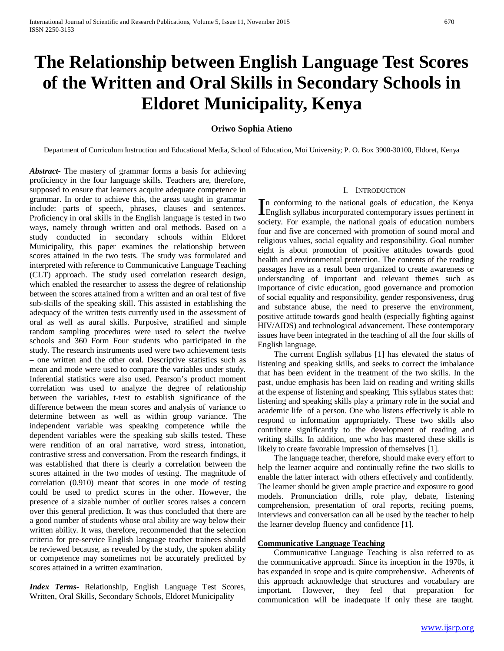# **The Relationship between English Language Test Scores of the Written and Oral Skills in Secondary Schools in Eldoret Municipality, Kenya**

# **Oriwo Sophia Atieno**

Department of Curriculum Instruction and Educational Media, School of Education, Moi University; P. O. Box 3900-30100, Eldoret, Kenya

*Abstract***-** The mastery of grammar forms a basis for achieving proficiency in the four language skills. Teachers are, therefore, supposed to ensure that learners acquire adequate competence in grammar. In order to achieve this, the areas taught in grammar include: parts of speech, phrases, clauses and sentences. Proficiency in oral skills in the English language is tested in two ways, namely through written and oral methods. Based on a study conducted in secondary schools within Eldoret Municipality, this paper examines the relationship between scores attained in the two tests. The study was formulated and interpreted with reference to Communicative Language Teaching (CLT) approach. The study used correlation research design, which enabled the researcher to assess the degree of relationship between the scores attained from a written and an oral test of five sub-skills of the speaking skill. This assisted in establishing the adequacy of the written tests currently used in the assessment of oral as well as aural skills. Purposive, stratified and simple random sampling procedures were used to select the twelve schools and 360 Form Four students who participated in the study. The research instruments used were two achievement tests – one written and the other oral. Descriptive statistics such as mean and mode were used to compare the variables under study. Inferential statistics were also used. Pearson's product moment correlation was used to analyze the degree of relationship between the variables, t-test to establish significance of the difference between the mean scores and analysis of variance to determine between as well as within group variance. The independent variable was speaking competence while the dependent variables were the speaking sub skills tested. These were rendition of an oral narrative, word stress, intonation, contrastive stress and conversation. From the research findings, it was established that there is clearly a correlation between the scores attained in the two modes of testing. The magnitude of correlation (0.910) meant that scores in one mode of testing could be used to predict scores in the other. However, the presence of a sizable number of outlier scores raises a concern over this general prediction. It was thus concluded that there are a good number of students whose oral ability are way below their written ability. It was, therefore, recommended that the selection criteria for pre-service English language teacher trainees should be reviewed because, as revealed by the study, the spoken ability or competence may sometimes not be accurately predicted by scores attained in a written examination.

*Index Terms*- Relationship, English Language Test Scores, Written, Oral Skills, Secondary Schools, Eldoret Municipality

# I. INTRODUCTION

n conforming to the national goals of education, the Kenya In conforming to the national goals of education, the Kenya English syllabus incorporated contemporary issues pertinent in society. For example, the national goals of education numbers four and five are concerned with promotion of sound moral and religious values, social equality and responsibility. Goal number eight is about promotion of positive attitudes towards good health and environmental protection. The contents of the reading passages have as a result been organized to create awareness or understanding of important and relevant themes such as importance of civic education, good governance and promotion of social equality and responsibility, gender responsiveness, drug and substance abuse, the need to preserve the environment, positive attitude towards good health (especially fighting against HIV/AIDS) and technological advancement. These contemporary issues have been integrated in the teaching of all the four skills of English language.

 The current English syllabus [1] has elevated the status of listening and speaking skills, and seeks to correct the imbalance that has been evident in the treatment of the two skills. In the past, undue emphasis has been laid on reading and writing skills at the expense of listening and speaking. This syllabus states that: listening and speaking skills play a primary role in the social and academic life of a person. One who listens effectively is able to respond to information appropriately. These two skills also contribute significantly to the development of reading and writing skills. In addition, one who has mastered these skills is likely to create favorable impression of themselves [1].

 The language teacher, therefore, should make every effort to help the learner acquire and continually refine the two skills to enable the latter interact with others effectively and confidently. The learner should be given ample practice and exposure to good models. Pronunciation drills, role play, debate, listening comprehension, presentation of oral reports, reciting poems, interviews and conversation can all be used by the teacher to help the learner develop fluency and confidence [1].

#### **Communicative Language Teaching**

 Communicative Language Teaching is also referred to as the communicative approach. Since its inception in the 1970s, it has expanded in scope and is quite comprehensive. Adherents of this approach acknowledge that structures and vocabulary are important. However, they feel that preparation for communication will be inadequate if only these are taught.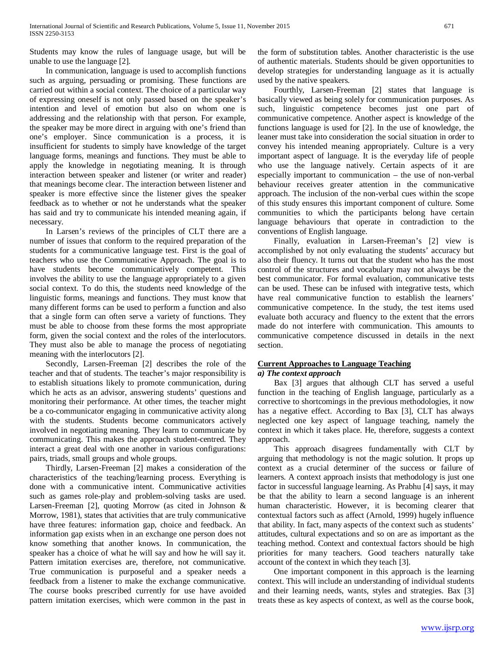Students may know the rules of language usage, but will be unable to use the language [2].

 In communication, language is used to accomplish functions such as arguing, persuading or promising. These functions are carried out within a social context. The choice of a particular way of expressing oneself is not only passed based on the speaker's intention and level of emotion but also on whom one is addressing and the relationship with that person. For example, the speaker may be more direct in arguing with one's friend than one's employer. Since communication is a process, it is insufficient for students to simply have knowledge of the target language forms, meanings and functions. They must be able to apply the knowledge in negotiating meaning. It is through interaction between speaker and listener (or writer and reader) that meanings become clear. The interaction between listener and speaker is more effective since the listener gives the speaker feedback as to whether or not he understands what the speaker has said and try to communicate his intended meaning again, if necessary.

 In Larsen's reviews of the principles of CLT there are a number of issues that conform to the required preparation of the students for a communicative language test. First is the goal of teachers who use the Communicative Approach. The goal is to have students become communicatively competent. This involves the ability to use the language appropriately to a given social context. To do this, the students need knowledge of the linguistic forms, meanings and functions. They must know that many different forms can be used to perform a function and also that a single form can often serve a variety of functions. They must be able to choose from these forms the most appropriate form, given the social context and the roles of the interlocutors. They must also be able to manage the process of negotiating meaning with the interlocutors [2].

 Secondly, Larsen-Freeman [2] describes the role of the teacher and that of students. The teacher's major responsibility is to establish situations likely to promote communication, during which he acts as an advisor, answering students' questions and monitoring their performance. At other times, the teacher might be a co-communicator engaging in communicative activity along with the students. Students become communicators actively involved in negotiating meaning. They learn to communicate by communicating. This makes the approach student-centred. They interact a great deal with one another in various configurations: pairs, triads, small groups and whole groups.

 Thirdly, Larsen-Freeman [2] makes a consideration of the characteristics of the teaching/learning process. Everything is done with a communicative intent. Communicative activities such as games role-play and problem-solving tasks are used. Larsen-Freeman [2], quoting Morrow (as cited in Johnson & Morrow, 1981), states that activities that are truly communicative have three features: information gap, choice and feedback. An information gap exists when in an exchange one person does not know something that another knows. In communication, the speaker has a choice of what he will say and how he will say it. Pattern imitation exercises are, therefore, not communicative. True communication is purposeful and a speaker needs a feedback from a listener to make the exchange communicative. The course books prescribed currently for use have avoided pattern imitation exercises, which were common in the past in

the form of substitution tables. Another characteristic is the use of authentic materials. Students should be given opportunities to develop strategies for understanding language as it is actually used by the native speakers.

 Fourthly, Larsen-Freeman [2] states that language is basically viewed as being solely for communication purposes. As such, linguistic competence becomes just one part of communicative competence. Another aspect is knowledge of the functions language is used for [2]. In the use of knowledge, the leaner must take into consideration the social situation in order to convey his intended meaning appropriately. Culture is a very important aspect of language. It is the everyday life of people who use the language natively. Certain aspects of it are especially important to communication – the use of non-verbal behaviour receives greater attention in the communicative approach. The inclusion of the non-verbal cues within the scope of this study ensures this important component of culture. Some communities to which the participants belong have certain language behaviours that operate in contradiction to the conventions of English language.

 Finally, evaluation in Larsen-Freeman's [2] view is accomplished by not only evaluating the students' accuracy but also their fluency. It turns out that the student who has the most control of the structures and vocabulary may not always be the best communicator. For formal evaluation, communicative tests can be used. These can be infused with integrative tests, which have real communicative function to establish the learners' communicative competence. In the study, the test items used evaluate both accuracy and fluency to the extent that the errors made do not interfere with communication. This amounts to communicative competence discussed in details in the next section.

#### **Current Approaches to Language Teaching** *a) The context approach*

 Bax [3] argues that although CLT has served a useful function in the teaching of English language, particularly as a corrective to shortcomings in the previous methodologies, it now has a negative effect. According to Bax [3], CLT has always neglected one key aspect of language teaching, namely the context in which it takes place. He, therefore, suggests a context approach.

 This approach disagrees fundamentally with CLT by arguing that methodology is not the magic solution. It props up context as a crucial determiner of the success or failure of learners. A context approach insists that methodology is just one factor in successful language learning. As Prabhu [4] says, it may be that the ability to learn a second language is an inherent human characteristic. However, it is becoming clearer that contextual factors such as affect (Arnold, 1999) hugely influence that ability. In fact, many aspects of the context such as students' attitudes, cultural expectations and so on are as important as the teaching method. Context and contextual factors should be high priorities for many teachers. Good teachers naturally take account of the context in which they teach [3].

 One important component in this approach is the learning context. This will include an understanding of individual students and their learning needs, wants, styles and strategies. Bax [3] treats these as key aspects of context, as well as the course book,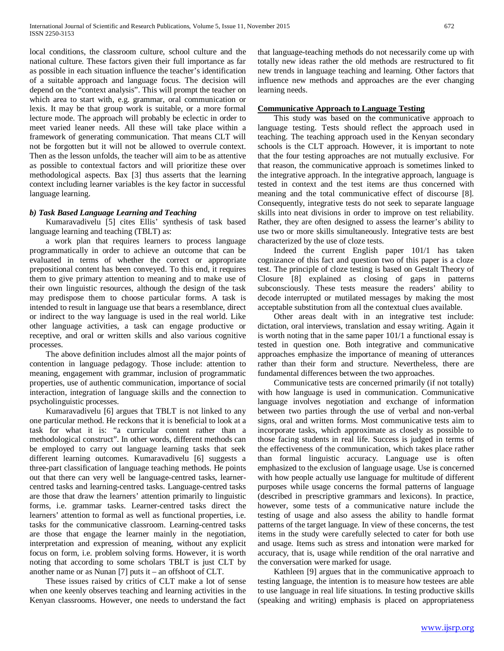local conditions, the classroom culture, school culture and the national culture. These factors given their full importance as far as possible in each situation influence the teacher's identification of a suitable approach and language focus. The decision will depend on the "context analysis". This will prompt the teacher on which area to start with, e.g. grammar, oral communication or lexis. It may be that group work is suitable, or a more formal lecture mode. The approach will probably be eclectic in order to meet varied leaner needs. All these will take place within a framework of generating communication. That means CLT will not be forgotten but it will not be allowed to overrule context. Then as the lesson unfolds, the teacher will aim to be as attentive as possible to contextual factors and will prioritize these over methodological aspects. Bax [3] thus asserts that the learning context including learner variables is the key factor in successful language learning.

# *b) Task Based Language Learning and Teaching*

 Kumaravadivelu [5] cites Ellis' synthesis of task based language learning and teaching (TBLT) as:

 a work plan that requires learners to process language programmatically in order to achieve an outcome that can be evaluated in terms of whether the correct or appropriate prepositional content has been conveyed. To this end, it requires them to give primary attention to meaning and to make use of their own linguistic resources, although the design of the task may predispose them to choose particular forms. A task is intended to result in language use that bears a resemblance, direct or indirect to the way language is used in the real world. Like other language activities, a task can engage productive or receptive, and oral or written skills and also various cognitive processes.

 The above definition includes almost all the major points of contention in language pedagogy. Those include: attention to meaning, engagement with grammar, inclusion of programmatic properties, use of authentic communication, importance of social interaction, integration of language skills and the connection to psycholinguistic processes.

 Kumaravadivelu [6] argues that TBLT is not linked to any one particular method. He reckons that it is beneficial to look at a task for what it is: "a curricular content rather than a methodological construct". In other words, different methods can be employed to carry out language learning tasks that seek different learning outcomes. Kumaravadivelu [6] suggests a three-part classification of language teaching methods. He points out that there can very well be language-centred tasks, learnercentred tasks and learning-centred tasks. Language-centred tasks are those that draw the learners' attention primarily to linguistic forms, i.e. grammar tasks. Learner-centred tasks direct the learners' attention to formal as well as functional properties, i.e. tasks for the communicative classroom. Learning-centred tasks are those that engage the learner mainly in the negotiation, interpretation and expression of meaning, without any explicit focus on form, i.e. problem solving forms. However, it is worth noting that according to some scholars TBLT is just CLT by another name or as Nunan [7] puts it – an offshoot of CLT.

 These issues raised by critics of CLT make a lot of sense when one keenly observes teaching and learning activities in the Kenyan classrooms. However, one needs to understand the fact

that language-teaching methods do not necessarily come up with totally new ideas rather the old methods are restructured to fit new trends in language teaching and learning. Other factors that influence new methods and approaches are the ever changing learning needs.

#### **Communicative Approach to Language Testing**

 This study was based on the communicative approach to language testing. Tests should reflect the approach used in teaching. The teaching approach used in the Kenyan secondary schools is the CLT approach. However, it is important to note that the four testing approaches are not mutually exclusive. For that reason, the communicative approach is sometimes linked to the integrative approach. In the integrative approach, language is tested in context and the test items are thus concerned with meaning and the total communicative effect of discourse [8]. Consequently, integrative tests do not seek to separate language skills into neat divisions in order to improve on test reliability. Rather, they are often designed to assess the learner's ability to use two or more skills simultaneously. Integrative tests are best characterized by the use of cloze tests.

 Indeed the current English paper 101/1 has taken cognizance of this fact and question two of this paper is a cloze test. The principle of cloze testing is based on Gestalt Theory of Closure [8] explained as closing of gaps in patterns subconsciously. These tests measure the readers' ability to decode interrupted or mutilated messages by making the most acceptable substitution from all the contextual clues available.

 Other areas dealt with in an integrative test include: dictation, oral interviews, translation and essay writing. Again it is worth noting that in the same paper 101/1 a functional essay is tested in question one. Both integrative and communicative approaches emphasize the importance of meaning of utterances rather than their form and structure. Nevertheless, there are fundamental differences between the two approaches.

 Communicative tests are concerned primarily (if not totally) with how language is used in communication. Communicative language involves negotiation and exchange of information between two parties through the use of verbal and non-verbal signs, oral and written forms. Most communicative tests aim to incorporate tasks, which approximate as closely as possible to those facing students in real life. Success is judged in terms of the effectiveness of the communication, which takes place rather than formal linguistic accuracy. Language use is often emphasized to the exclusion of language usage. Use is concerned with how people actually use language for multitude of different purposes while usage concerns the formal patterns of language (described in prescriptive grammars and lexicons). In practice, however, some tests of a communicative nature include the testing of usage and also assess the ability to handle format patterns of the target language. In view of these concerns, the test items in the study were carefully selected to cater for both use and usage. Items such as stress and intonation were marked for accuracy, that is, usage while rendition of the oral narrative and the conversation were marked for usage.

 Kathleen [9] argues that in the communicative approach to testing language, the intention is to measure how testees are able to use language in real life situations. In testing productive skills (speaking and writing) emphasis is placed on appropriateness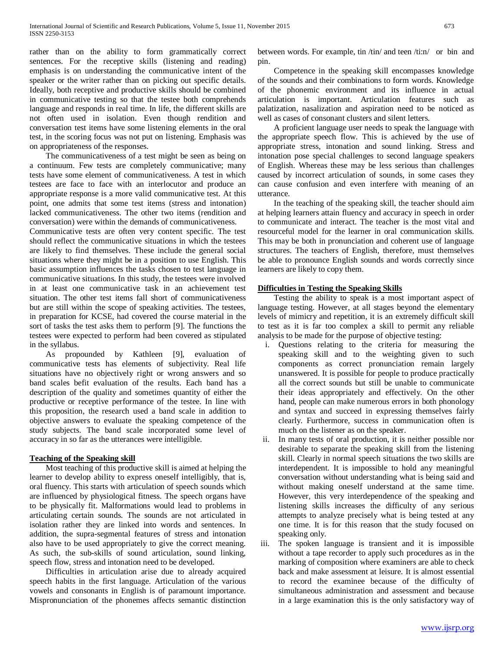rather than on the ability to form grammatically correct sentences. For the receptive skills (listening and reading) emphasis is on understanding the communicative intent of the speaker or the writer rather than on picking out specific details. Ideally, both receptive and productive skills should be combined in communicative testing so that the testee both comprehends language and responds in real time. In life, the different skills are not often used in isolation. Even though rendition and conversation test items have some listening elements in the oral test, in the scoring focus was not put on listening. Emphasis was on appropriateness of the responses.

 The communicativeness of a test might be seen as being on a continuum. Few tests are completely communicative; many tests have some element of communicativeness. A test in which testees are face to face with an interlocutor and produce an appropriate response is a more valid communicative test. At this point, one admits that some test items (stress and intonation) lacked communicativeness. The other two items (rendition and conversation) were within the demands of communicativeness.

Communicative tests are often very content specific. The test should reflect the communicative situations in which the testees are likely to find themselves. These include the general social situations where they might be in a position to use English. This basic assumption influences the tasks chosen to test language in communicative situations. In this study, the testees were involved in at least one communicative task in an achievement test situation. The other test items fall short of communicativeness but are still within the scope of speaking activities. The testees, in preparation for KCSE, had covered the course material in the sort of tasks the test asks them to perform [9]. The functions the testees were expected to perform had been covered as stipulated in the syllabus.

 As propounded by Kathleen [9], evaluation of communicative tests has elements of subjectivity. Real life situations have no objectively right or wrong answers and so band scales befit evaluation of the results. Each band has a description of the quality and sometimes quantity of either the productive or receptive performance of the testee. In line with this proposition, the research used a band scale in addition to objective answers to evaluate the speaking competence of the study subjects. The band scale incorporated some level of accuracy in so far as the utterances were intelligible.

# **Teaching of the Speaking skill**

 Most teaching of this productive skill is aimed at helping the learner to develop ability to express oneself intelligibly, that is, oral fluency. This starts with articulation of speech sounds which are influenced by physiological fitness. The speech organs have to be physically fit. Malformations would lead to problems in articulating certain sounds. The sounds are not articulated in isolation rather they are linked into words and sentences. In addition, the supra-segmental features of stress and intonation also have to be used appropriately to give the correct meaning. As such, the sub-skills of sound articulation, sound linking, speech flow, stress and intonation need to be developed.

 Difficulties in articulation arise due to already acquired speech habits in the first language. Articulation of the various vowels and consonants in English is of paramount importance. Mispronunciation of the phonemes affects semantic distinction between words. For example, tin /tin/ and teen /ti:n/ or bin and pin.

 Competence in the speaking skill encompasses knowledge of the sounds and their combinations to form words. Knowledge of the phonemic environment and its influence in actual articulation is important. Articulation features such as palatization, nasalization and aspiration need to be noticed as well as cases of consonant clusters and silent letters.

 A proficient language user needs to speak the language with the appropriate speech flow. This is achieved by the use of appropriate stress, intonation and sound linking. Stress and intonation pose special challenges to second language speakers of English. Whereas these may be less serious than challenges caused by incorrect articulation of sounds, in some cases they can cause confusion and even interfere with meaning of an utterance.

 In the teaching of the speaking skill, the teacher should aim at helping learners attain fluency and accuracy in speech in order to communicate and interact. The teacher is the most vital and resourceful model for the learner in oral communication skills. This may be both in pronunciation and coherent use of language structures. The teachers of English, therefore, must themselves be able to pronounce English sounds and words correctly since learners are likely to copy them.

# **Difficulties in Testing the Speaking Skills**

 Testing the ability to speak is a most important aspect of language testing. However, at all stages beyond the elementary levels of mimicry and repetition, it is an extremely difficult skill to test as it is far too complex a skill to permit any reliable analysis to be made for the purpose of objective testing:

- i. Questions relating to the criteria for measuring the speaking skill and to the weighting given to such components as correct pronunciation remain largely unanswered. It is possible for people to produce practically all the correct sounds but still be unable to communicate their ideas appropriately and effectively. On the other hand, people can make numerous errors in both phonology and syntax and succeed in expressing themselves fairly clearly. Furthermore, success in communication often is much on the listener as on the speaker.
- ii. In many tests of oral production, it is neither possible nor desirable to separate the speaking skill from the listening skill. Clearly in normal speech situations the two skills are interdependent. It is impossible to hold any meaningful conversation without understanding what is being said and without making oneself understand at the same time. However, this very interdependence of the speaking and listening skills increases the difficulty of any serious attempts to analyze precisely what is being tested at any one time. It is for this reason that the study focused on speaking only.
- iii. The spoken language is transient and it is impossible without a tape recorder to apply such procedures as in the marking of composition where examiners are able to check back and make assessment at leisure. It is almost essential to record the examinee because of the difficulty of simultaneous administration and assessment and because in a large examination this is the only satisfactory way of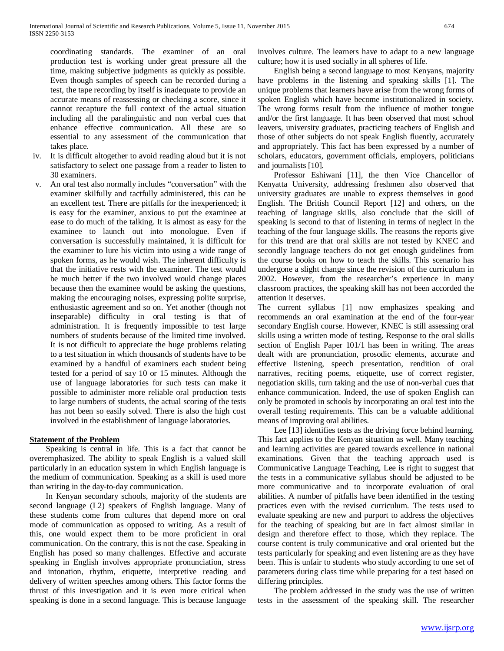coordinating standards. The examiner of an oral production test is working under great pressure all the time, making subjective judgments as quickly as possible. Even though samples of speech can be recorded during a test, the tape recording by itself is inadequate to provide an accurate means of reassessing or checking a score, since it cannot recapture the full context of the actual situation including all the paralinguistic and non verbal cues that enhance effective communication. All these are so essential to any assessment of the communication that takes place.

- iv. It is difficult altogether to avoid reading aloud but it is not satisfactory to select one passage from a reader to listen to 30 examiners.
- v. An oral test also normally includes "conversation" with the examiner skilfully and tactfully administered, this can be an excellent test. There are pitfalls for the inexperienced; it is easy for the examiner, anxious to put the examinee at ease to do much of the talking. It is almost as easy for the examinee to launch out into monologue. Even if conversation is successfully maintained, it is difficult for the examiner to lure his victim into using a wide range of spoken forms, as he would wish. The inherent difficulty is that the initiative rests with the examiner. The test would be much better if the two involved would change places because then the examinee would be asking the questions, making the encouraging noises, expressing polite surprise, enthusiastic agreement and so on. Yet another (though not inseparable) difficulty in oral testing is that of administration. It is frequently impossible to test large numbers of students because of the limited time involved. It is not difficult to appreciate the huge problems relating to a test situation in which thousands of students have to be examined by a handful of examiners each student being tested for a period of say 10 or 15 minutes. Although the use of language laboratories for such tests can make it possible to administer more reliable oral production tests to large numbers of students, the actual scoring of the tests has not been so easily solved. There is also the high cost involved in the establishment of language laboratories.

## **Statement of the Problem**

 Speaking is central in life. This is a fact that cannot be overemphasized. The ability to speak English is a valued skill particularly in an education system in which English language is the medium of communication. Speaking as a skill is used more than writing in the day-to-day communication.

 In Kenyan secondary schools, majority of the students are second language (L2) speakers of English language. Many of these students come from cultures that depend more on oral mode of communication as opposed to writing. As a result of this, one would expect them to be more proficient in oral communication. On the contrary, this is not the case. Speaking in English has posed so many challenges. Effective and accurate speaking in English involves appropriate pronunciation, stress and intonation, rhythm, etiquette, interpretive reading and delivery of written speeches among others. This factor forms the thrust of this investigation and it is even more critical when speaking is done in a second language. This is because language involves culture. The learners have to adapt to a new language culture; how it is used socially in all spheres of life.

 English being a second language to most Kenyans, majority have problems in the listening and speaking skills [1]. The unique problems that learners have arise from the wrong forms of spoken English which have become institutionalized in society. The wrong forms result from the influence of mother tongue and/or the first language. It has been observed that most school leavers, university graduates, practicing teachers of English and those of other subjects do not speak English fluently, accurately and appropriately. This fact has been expressed by a number of scholars, educators, government officials, employers, politicians and journalists [10].

 Professor Eshiwani [11], the then Vice Chancellor of Kenyatta University, addressing freshmen also observed that university graduates are unable to express themselves in good English. The British Council Report [12] and others, on the teaching of language skills, also conclude that the skill of speaking is second to that of listening in terms of neglect in the teaching of the four language skills. The reasons the reports give for this trend are that oral skills are not tested by KNEC and secondly language teachers do not get enough guidelines from the course books on how to teach the skills. This scenario has undergone a slight change since the revision of the curriculum in 2002. However, from the researcher's experience in many classroom practices, the speaking skill has not been accorded the attention it deserves.

The current syllabus [1] now emphasizes speaking and recommends an oral examination at the end of the four-year secondary English course. However, KNEC is still assessing oral skills using a written mode of testing. Response to the oral skills section of English Paper 101/1 has been in writing. The areas dealt with are pronunciation, prosodic elements, accurate and effective listening, speech presentation, rendition of oral narratives, reciting poems, etiquette, use of correct register, negotiation skills, turn taking and the use of non-verbal cues that enhance communication. Indeed, the use of spoken English can only be promoted in schools by incorporating an oral test into the overall testing requirements. This can be a valuable additional means of improving oral abilities.

 Lee [13] identifies tests as the driving force behind learning. This fact applies to the Kenyan situation as well. Many teaching and learning activities are geared towards excellence in national examinations. Given that the teaching approach used is Communicative Language Teaching, Lee is right to suggest that the tests in a communicative syllabus should be adjusted to be more communicative and to incorporate evaluation of oral abilities. A number of pitfalls have been identified in the testing practices even with the revised curriculum. The tests used to evaluate speaking are new and purport to address the objectives for the teaching of speaking but are in fact almost similar in design and therefore effect to those, which they replace. The course content is truly communicative and oral oriented but the tests particularly for speaking and even listening are as they have been. This is unfair to students who study according to one set of parameters during class time while preparing for a test based on differing principles.

 The problem addressed in the study was the use of written tests in the assessment of the speaking skill. The researcher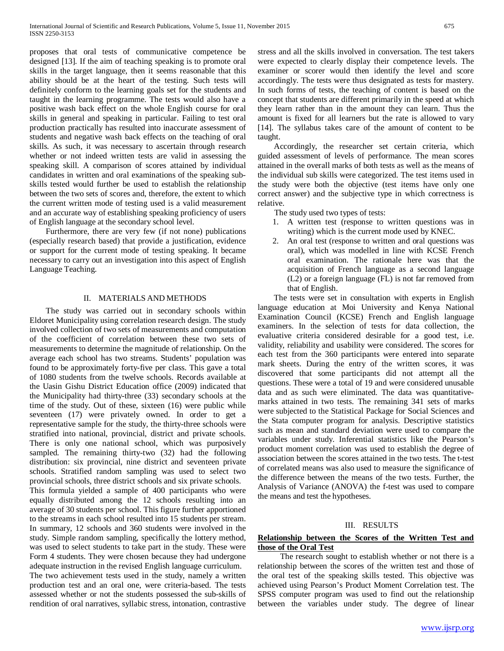proposes that oral tests of communicative competence be designed [13]. If the aim of teaching speaking is to promote oral skills in the target language, then it seems reasonable that this ability should be at the heart of the testing. Such tests will definitely conform to the learning goals set for the students and taught in the learning programme. The tests would also have a positive wash back effect on the whole English course for oral skills in general and speaking in particular. Failing to test oral production practically has resulted into inaccurate assessment of students and negative wash back effects on the teaching of oral skills. As such, it was necessary to ascertain through research whether or not indeed written tests are valid in assessing the speaking skill. A comparison of scores attained by individual candidates in written and oral examinations of the speaking subskills tested would further be used to establish the relationship between the two sets of scores and, therefore, the extent to which the current written mode of testing used is a valid measurement and an accurate way of establishing speaking proficiency of users of English language at the secondary school level.

 Furthermore, there are very few (if not none) publications (especially research based) that provide a justification, evidence or support for the current mode of testing speaking. It became necessary to carry out an investigation into this aspect of English Language Teaching.

# II. MATERIALS AND METHODS

 The study was carried out in secondary schools within Eldoret Municipality using correlation research design. The study involved collection of two sets of measurements and computation of the coefficient of correlation between these two sets of measurements to determine the magnitude of relationship. On the average each school has two streams. Students' population was found to be approximately forty-five per class. This gave a total of 1080 students from the twelve schools. Records available at the Uasin Gishu District Education office (2009) indicated that the Municipality had thirty-three (33) secondary schools at the time of the study. Out of these, sixteen (16) were public while seventeen (17) were privately owned. In order to get a representative sample for the study, the thirty-three schools were stratified into national, provincial, district and private schools. There is only one national school, which was purposively sampled. The remaining thirty-two (32) had the following distribution: six provincial, nine district and seventeen private schools. Stratified random sampling was used to select two provincial schools, three district schools and six private schools.

This formula yielded a sample of 400 participants who were equally distributed among the 12 schools resulting into an average of 30 students per school. This figure further apportioned to the streams in each school resulted into 15 students per stream. In summary, 12 schools and 360 students were involved in the study. Simple random sampling, specifically the lottery method, was used to select students to take part in the study. These were Form 4 students. They were chosen because they had undergone adequate instruction in the revised English language curriculum.

The two achievement tests used in the study, namely a written production test and an oral one, were criteria-based. The tests assessed whether or not the students possessed the sub-skills of rendition of oral narratives, syllabic stress, intonation, contrastive

stress and all the skills involved in conversation. The test takers were expected to clearly display their competence levels. The examiner or scorer would then identify the level and score accordingly. The tests were thus designated as tests for mastery. In such forms of tests, the teaching of content is based on the concept that students are different primarily in the speed at which they learn rather than in the amount they can learn. Thus the amount is fixed for all learners but the rate is allowed to vary [14]. The syllabus takes care of the amount of content to be taught.

 Accordingly, the researcher set certain criteria, which guided assessment of levels of performance. The mean scores attained in the overall marks of both tests as well as the means of the individual sub skills were categorized. The test items used in the study were both the objective (test items have only one correct answer) and the subjective type in which correctness is relative.

The study used two types of tests:

- 1. A written test (response to written questions was in writing) which is the current mode used by KNEC.
- 2. An oral test (response to written and oral questions was oral), which was modelled in line with KCSE French oral examination. The rationale here was that the acquisition of French language as a second language (L2) or a foreign language (FL) is not far removed from that of English.

 The tests were set in consultation with experts in English language education at Moi University and Kenya National Examination Council (KCSE) French and English language examiners. In the selection of tests for data collection, the evaluative criteria considered desirable for a good test, i.e. validity, reliability and usability were considered. The scores for each test from the 360 participants were entered into separate mark sheets. During the entry of the written scores, it was discovered that some participants did not attempt all the questions. These were a total of 19 and were considered unusable data and as such were eliminated. The data was quantitativemarks attained in two tests. The remaining 341 sets of marks were subjected to the Statistical Package for Social Sciences and the Stata computer program for analysis. Descriptive statistics such as mean and standard deviation were used to compare the variables under study. Inferential statistics like the Pearson's product moment correlation was used to establish the degree of association between the scores attained in the two tests. The t-test of correlated means was also used to measure the significance of the difference between the means of the two tests. Further, the Analysis of Variance (ANOVA) the f-test was used to compare the means and test the hypotheses.

#### III. RESULTS

## **Relationship between the Scores of the Written Test and those of the Oral Test**

 The research sought to establish whether or not there is a relationship between the scores of the written test and those of the oral test of the speaking skills tested. This objective was achieved using Pearson's Product Moment Correlation test. The SPSS computer program was used to find out the relationship between the variables under study. The degree of linear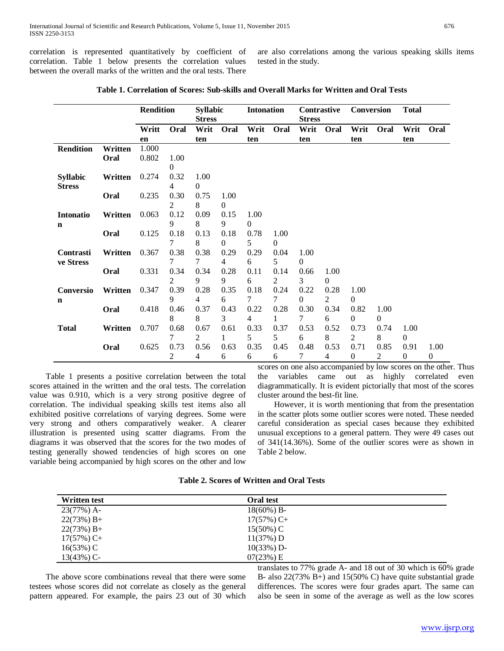correlation is represented quantitatively by coefficient of correlation. Table 1 below presents the correlation values between the overall marks of the written and the oral tests. There are also correlations among the various speaking skills items tested in the study.

|                          |         | <b>Rendition</b> |           | <b>Syllabic</b><br><b>Stress</b> |                      | <b>Intonation</b> |                  | <b>Contrastive</b><br><b>Stress</b> |                  | <b>Conversion</b>        |                  | <b>Total</b>             |                        |
|--------------------------|---------|------------------|-----------|----------------------------------|----------------------|-------------------|------------------|-------------------------------------|------------------|--------------------------|------------------|--------------------------|------------------------|
|                          |         | Writt            | Oral      | Writ                             | Oral                 | Writ              | Oral             | Writ                                | Oral             | Writ                     | Oral             | Writ                     | Oral                   |
|                          |         | en               |           | ten                              |                      | ten               |                  | ten                                 |                  | ten                      |                  | ten                      |                        |
| <b>Rendition</b>         | Written | 1.000            |           |                                  |                      |                   |                  |                                     |                  |                          |                  |                          |                        |
|                          | Oral    | 0.802            | 1.00<br>0 |                                  |                      |                   |                  |                                     |                  |                          |                  |                          |                        |
| <b>Syllabic</b>          | Written | 0.274            | 0.32<br>4 | 1.00<br>$\Omega$                 |                      |                   |                  |                                     |                  |                          |                  |                          |                        |
| <b>Stress</b>            | Oral    | 0.235            | 0.30<br>2 | 0.75<br>8                        | 1.00<br>$\Omega$     |                   |                  |                                     |                  |                          |                  |                          |                        |
| Intonatio<br>$\mathbf n$ | Written | 0.063            | 0.12<br>9 | 0.09<br>8                        | 0.15<br>9            | 1.00<br>0         |                  |                                     |                  |                          |                  |                          |                        |
|                          | Oral    | 0.125            | 0.18<br>7 | 0.13<br>8                        | 0.18<br>$\mathbf{0}$ | 0.78<br>5         | 1.00<br>$\theta$ |                                     |                  |                          |                  |                          |                        |
| Contrasti<br>ve Stress   | Written | 0.367            | 0.38<br>7 | 0.38<br>7                        | 0.29<br>4            | 0.29<br>6         | 0.04<br>5        | 1.00<br>$\Omega$                    |                  |                          |                  |                          |                        |
|                          | Oral    | 0.331            | 0.34<br>2 | 0.34<br>9                        | 0.28<br>9            | 0.11<br>6         | 0.14<br>2        | 0.66<br>3                           | 1.00<br>$\theta$ |                          |                  |                          |                        |
| Conversio<br>$\mathbf n$ | Written | 0.347            | 0.39<br>9 | 0.28<br>4                        | 0.35<br>6            | 0.18<br>7         | 0.24<br>7        | 0.22<br>$\Omega$                    | 0.28<br>2        | 1.00<br>$\Omega$         |                  |                          |                        |
|                          | Oral    | 0.418            | 0.46<br>8 | 0.37<br>8                        | 0.43<br>3            | 0.22<br>4         | 0.28<br>1        | 0.30<br>7                           | 0.34<br>6        | 0.82<br>$\Omega$         | 1.00<br>$\Omega$ |                          |                        |
| <b>Total</b>             | Written | 0.707            | 0.68<br>7 | 0.67<br>2                        | 0.61<br>1            | 0.33<br>5         | 0.37<br>5        | 0.53<br>6                           | 0.52<br>8        | 0.73<br>$\overline{2}$   | 0.74<br>8        | 1.00<br>$\mathbf{0}$     |                        |
|                          | Oral    | 0.625            | 0.73<br>2 | 0.56<br>4                        | 0.63<br>6            | 0.35<br>6         | 0.45<br>6        | 0.48<br>7                           | 0.53<br>4        | 0.71<br>$\boldsymbol{0}$ | 0.85<br>2        | 0.91<br>$\boldsymbol{0}$ | 1.00<br>$\overline{0}$ |

**Table 1. Correlation of Scores: Sub-skills and Overall Marks for Written and Oral Tests**

 Table 1 presents a positive correlation between the total scores attained in the written and the oral tests. The correlation value was 0.910, which is a very strong positive degree of correlation. The individual speaking skills test items also all exhibited positive correlations of varying degrees. Some were very strong and others comparatively weaker. A clearer illustration is presented using scatter diagrams. From the diagrams it was observed that the scores for the two modes of testing generally showed tendencies of high scores on one variable being accompanied by high scores on the other and low

scores on one also accompanied by low scores on the other. Thus the variables came out as highly correlated even diagrammatically. It is evident pictorially that most of the scores cluster around the best-fit line.

 However, it is worth mentioning that from the presentation in the scatter plots some outlier scores were noted. These needed careful consideration as special cases because they exhibited unusual exceptions to a general pattern. They were 49 cases out of 341(14.36%). Some of the outlier scores were as shown in Table 2 below.

| <b>Table 2. Scores of Written and Oral Tests</b> |
|--------------------------------------------------|
|--------------------------------------------------|

| <b>Written test</b> | <b>Oral test</b> |  |
|---------------------|------------------|--|
| $23(77%)$ A-        | $18(60\%) B$     |  |
| $22(73%) B+$        | $17(57\%)$ C+    |  |
| $22(73%) B+$        | $15(50\%)$ C     |  |
| $17(57%)$ C+        | 11(37%) D        |  |
| $16(53%)$ C         | $10(33%)$ D-     |  |
| $13(43%)$ C-        | $07(23%)$ E      |  |

 The above score combinations reveal that there were some testees whose scores did not correlate as closely as the general pattern appeared. For example, the pairs 23 out of 30 which translates to 77% grade A- and 18 out of 30 which is 60% grade B- also 22(73% B+) and 15(50% C) have quite substantial grade differences. The scores were four grades apart. The same can also be seen in some of the average as well as the low scores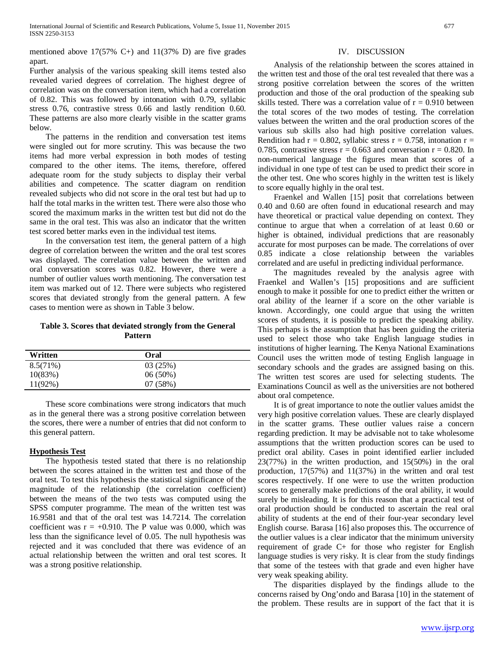mentioned above  $17(57\% \text{ C+})$  and  $11(37\% \text{ D})$  are five grades apart.

Further analysis of the various speaking skill items tested also revealed varied degrees of correlation. The highest degree of correlation was on the conversation item, which had a correlation of 0.82. This was followed by intonation with 0.79, syllabic stress 0.76, contrastive stress 0.66 and lastly rendition 0.60. These patterns are also more clearly visible in the scatter grams below.

 The patterns in the rendition and conversation test items were singled out for more scrutiny. This was because the two items had more verbal expression in both modes of testing compared to the other items. The items, therefore, offered adequate room for the study subjects to display their verbal abilities and competence. The scatter diagram on rendition revealed subjects who did not score in the oral test but had up to half the total marks in the written test. There were also those who scored the maximum marks in the written test but did not do the same in the oral test. This was also an indicator that the written test scored better marks even in the individual test items.

 In the conversation test item, the general pattern of a high degree of correlation between the written and the oral test scores was displayed. The correlation value between the written and oral conversation scores was 0.82. However, there were a number of outlier values worth mentioning. The conversation test item was marked out of 12. There were subjects who registered scores that deviated strongly from the general pattern. A few cases to mention were as shown in Table 3 below.

# **Table 3. Scores that deviated strongly from the General Pattern**

| Written    | Oral    |  |
|------------|---------|--|
| 8.5(71%)   | 03(25%) |  |
| 10(83%)    | 06(50%) |  |
| $11(92\%)$ | 07(58%) |  |

 These score combinations were strong indicators that much as in the general there was a strong positive correlation between the scores, there were a number of entries that did not conform to this general pattern.

## **Hypothesis Test**

 The hypothesis tested stated that there is no relationship between the scores attained in the written test and those of the oral test. To test this hypothesis the statistical significance of the magnitude of the relationship (the correlation coefficient) between the means of the two tests was computed using the SPSS computer programme. The mean of the written test was 16.9581 and that of the oral test was 14.7214. The correlation coefficient was  $r = +0.910$ . The P value was 0.000, which was less than the significance level of 0.05. The null hypothesis was rejected and it was concluded that there was evidence of an actual relationship between the written and oral test scores. It was a strong positive relationship.

#### IV. DISCUSSION

 Analysis of the relationship between the scores attained in the written test and those of the oral test revealed that there was a strong positive correlation between the scores of the written production and those of the oral production of the speaking sub skills tested. There was a correlation value of  $r = 0.910$  between the total scores of the two modes of testing. The correlation values between the written and the oral production scores of the various sub skills also had high positive correlation values. Rendition had  $r = 0.802$ , syllabic stress  $r = 0.758$ , intonation  $r =$ 0.785, contrastive stress  $r = 0.663$  and conversation  $r = 0.820$ . In non-numerical language the figures mean that scores of a individual in one type of test can be used to predict their score in the other test. One who scores highly in the written test is likely to score equally highly in the oral test.

 Fraenkel and Wallen [15] posit that correlations between 0.40 and 0.60 are often found in educational research and may have theoretical or practical value depending on context. They continue to argue that when a correlation of at least 0.60 or higher is obtained, individual predictions that are reasonably accurate for most purposes can be made. The correlations of over 0.85 indicate a close relationship between the variables correlated and are useful in predicting individual performance.

 The magnitudes revealed by the analysis agree with Fraenkel and Wallen's [15] propositions and are sufficient enough to make it possible for one to predict either the written or oral ability of the learner if a score on the other variable is known. Accordingly, one could argue that using the written scores of students, it is possible to predict the speaking ability. This perhaps is the assumption that has been guiding the criteria used to select those who take English language studies in institutions of higher learning. The Kenya National Examinations Council uses the written mode of testing English language in secondary schools and the grades are assigned basing on this. The written test scores are used for selecting students. The Examinations Council as well as the universities are not bothered about oral competence.

 It is of great importance to note the outlier values amidst the very high positive correlation values. These are clearly displayed in the scatter grams. These outlier values raise a concern regarding prediction. It may be advisable not to take wholesome assumptions that the written production scores can be used to predict oral ability. Cases in point identified earlier included 23(77%) in the written production, and 15(50%) in the oral production, 17(57%) and 11(37%) in the written and oral test scores respectively. If one were to use the written production scores to generally make predictions of the oral ability, it would surely be misleading. It is for this reason that a practical test of oral production should be conducted to ascertain the real oral ability of students at the end of their four-year secondary level English course. Barasa [16] also proposes this. The occurrence of the outlier values is a clear indicator that the minimum university requirement of grade C+ for those who register for English language studies is very risky. It is clear from the study findings that some of the testees with that grade and even higher have very weak speaking ability.

 The disparities displayed by the findings allude to the concerns raised by Ong'ondo and Barasa [10] in the statement of the problem. These results are in support of the fact that it is